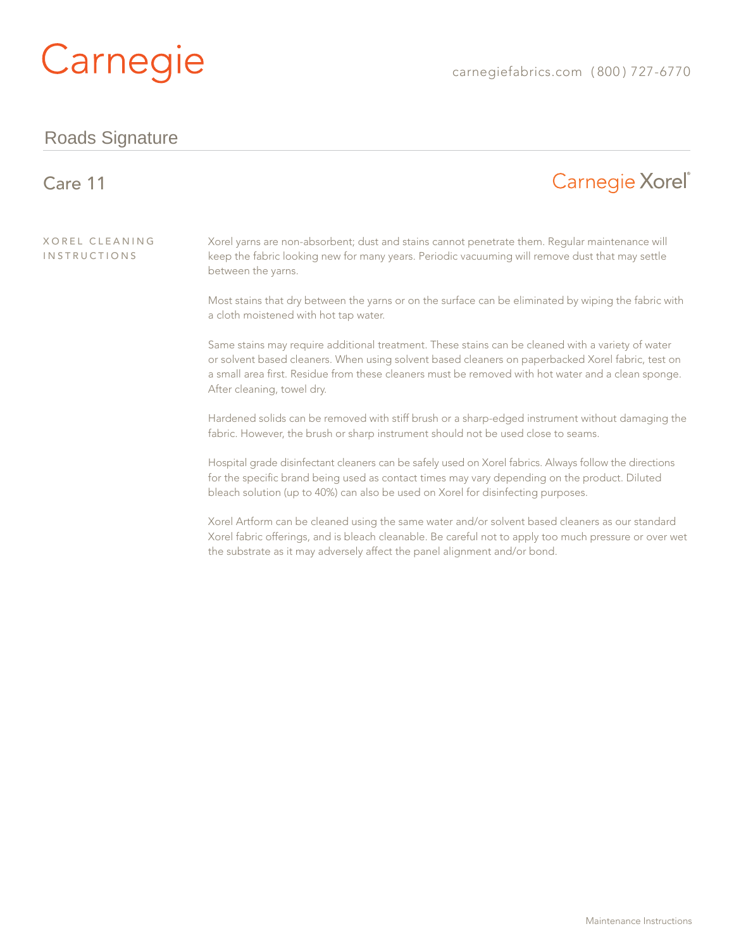# Carnegie

#### Roads Signature

#### Carnegie Xorel<sup>®</sup> Care 11 Xorel Cleaning Xorel yarns are non-absorbent; dust and stains cannot penetrate them. Regular maintenance will **INSTRUCTIONS** keep the fabric looking new for many years. Periodic vacuuming will remove dust that may settle between the yarns. Most stains that dry between the yarns or on the surface can be eliminated by wiping the fabric with a cloth moistened with hot tap water. Same stains may require additional treatment. These stains can be cleaned with a variety of water or solvent based cleaners. When using solvent based cleaners on paperbacked Xorel fabric, test on a small area first. Residue from these cleaners must be removed with hot water and a clean sponge. After cleaning, towel dry. Hardened solids can be removed with stiff brush or a sharp-edged instrument without damaging the fabric. However, the brush or sharp instrument should not be used close to seams. Hospital grade disinfectant cleaners can be safely used on Xorel fabrics. Always follow the directions for the specific brand being used as contact times may vary depending on the product. Diluted bleach solution (up to 40%) can also be used on Xorel for disinfecting purposes.

Xorel Artform can be cleaned using the same water and/or solvent based cleaners as our standard Xorel fabric offerings, and is bleach cleanable. Be careful not to apply too much pressure or over wet the substrate as it may adversely affect the panel alignment and/or bond.